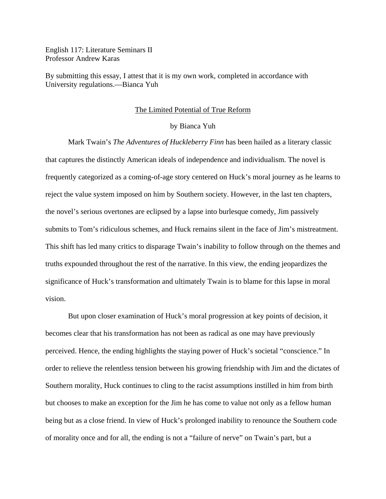English 117: Literature Seminars II Professor Andrew Karas

By submitting this essay, I attest that it is my own work, completed in accordance with University regulations.—Bianca Yuh

## The Limited Potential of True Reform

## by Bianca Yuh

Mark Twain's *The Adventures of Huckleberry Finn* has been hailed as a literary classic that captures the distinctly American ideals of independence and individualism. The novel is frequently categorized as a coming-of-age story centered on Huck's moral journey as he learns to reject the value system imposed on him by Southern society. However, in the last ten chapters, the novel's serious overtones are eclipsed by a lapse into burlesque comedy, Jim passively submits to Tom's ridiculous schemes, and Huck remains silent in the face of Jim's mistreatment. This shift has led many critics to disparage Twain's inability to follow through on the themes and truths expounded throughout the rest of the narrative. In this view, the ending jeopardizes the significance of Huck's transformation and ultimately Twain is to blame for this lapse in moral vision.

But upon closer examination of Huck's moral progression at key points of decision, it becomes clear that his transformation has not been as radical as one may have previously perceived. Hence, the ending highlights the staying power of Huck's societal "conscience." In order to relieve the relentless tension between his growing friendship with Jim and the dictates of Southern morality, Huck continues to cling to the racist assumptions instilled in him from birth but chooses to make an exception for the Jim he has come to value not only as a fellow human being but as a close friend. In view of Huck's prolonged inability to renounce the Southern code of morality once and for all, the ending is not a "failure of nerve" on Twain's part, but a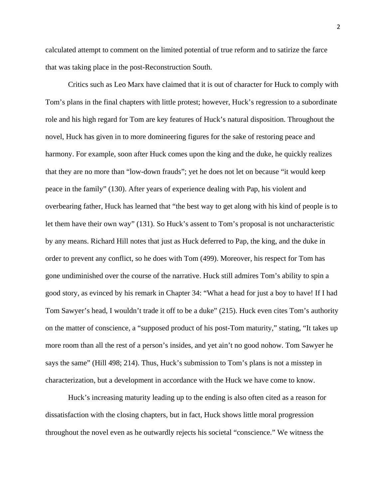calculated attempt to comment on the limited potential of true reform and to satirize the farce that was taking place in the post-Reconstruction South.

Critics such as Leo Marx have claimed that it is out of character for Huck to comply with Tom's plans in the final chapters with little protest; however, Huck's regression to a subordinate role and his high regard for Tom are key features of Huck's natural disposition. Throughout the novel, Huck has given in to more domineering figures for the sake of restoring peace and harmony. For example, soon after Huck comes upon the king and the duke, he quickly realizes that they are no more than "low-down frauds"; yet he does not let on because "it would keep peace in the family" (130). After years of experience dealing with Pap, his violent and overbearing father, Huck has learned that "the best way to get along with his kind of people is to let them have their own way" (131). So Huck's assent to Tom's proposal is not uncharacteristic by any means. Richard Hill notes that just as Huck deferred to Pap, the king, and the duke in order to prevent any conflict, so he does with Tom (499). Moreover, his respect for Tom has gone undiminished over the course of the narrative. Huck still admires Tom's ability to spin a good story, as evinced by his remark in Chapter 34: "What a head for just a boy to have! If I had Tom Sawyer's head, I wouldn't trade it off to be a duke" (215). Huck even cites Tom's authority on the matter of conscience, a "supposed product of his post-Tom maturity," stating, "It takes up more room than all the rest of a person's insides, and yet ain't no good nohow. Tom Sawyer he says the same" (Hill 498; 214). Thus, Huck's submission to Tom's plans is not a misstep in characterization, but a development in accordance with the Huck we have come to know.

 Huck's increasing maturity leading up to the ending is also often cited as a reason for dissatisfaction with the closing chapters, but in fact, Huck shows little moral progression throughout the novel even as he outwardly rejects his societal "conscience." We witness the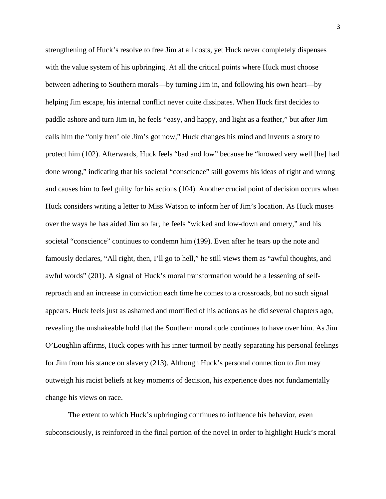strengthening of Huck's resolve to free Jim at all costs, yet Huck never completely dispenses with the value system of his upbringing. At all the critical points where Huck must choose between adhering to Southern morals—by turning Jim in, and following his own heart—by helping Jim escape, his internal conflict never quite dissipates. When Huck first decides to paddle ashore and turn Jim in, he feels "easy, and happy, and light as a feather," but after Jim calls him the "only fren' ole Jim's got now," Huck changes his mind and invents a story to protect him (102). Afterwards, Huck feels "bad and low" because he "knowed very well [he] had done wrong," indicating that his societal "conscience" still governs his ideas of right and wrong and causes him to feel guilty for his actions (104). Another crucial point of decision occurs when Huck considers writing a letter to Miss Watson to inform her of Jim's location. As Huck muses over the ways he has aided Jim so far, he feels "wicked and low-down and ornery," and his societal "conscience" continues to condemn him (199). Even after he tears up the note and famously declares, "All right, then, I'll go to hell," he still views them as "awful thoughts, and awful words" (201). A signal of Huck's moral transformation would be a lessening of selfreproach and an increase in conviction each time he comes to a crossroads, but no such signal appears. Huck feels just as ashamed and mortified of his actions as he did several chapters ago, revealing the unshakeable hold that the Southern moral code continues to have over him. As Jim O'Loughlin affirms, Huck copes with his inner turmoil by neatly separating his personal feelings for Jim from his stance on slavery (213). Although Huck's personal connection to Jim may outweigh his racist beliefs at key moments of decision, his experience does not fundamentally change his views on race.

The extent to which Huck's upbringing continues to influence his behavior, even subconsciously, is reinforced in the final portion of the novel in order to highlight Huck's moral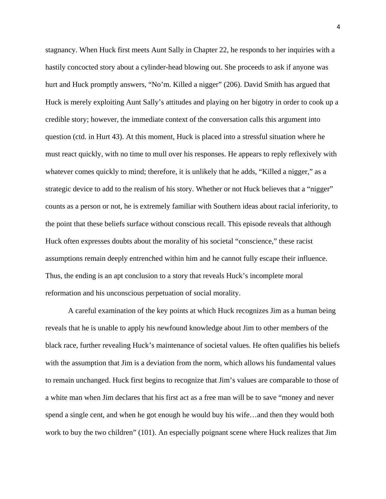stagnancy. When Huck first meets Aunt Sally in Chapter 22, he responds to her inquiries with a hastily concocted story about a cylinder-head blowing out. She proceeds to ask if anyone was hurt and Huck promptly answers, "No'm. Killed a nigger" (206). David Smith has argued that Huck is merely exploiting Aunt Sally's attitudes and playing on her bigotry in order to cook up a credible story; however, the immediate context of the conversation calls this argument into question (ctd. in Hurt 43). At this moment, Huck is placed into a stressful situation where he must react quickly, with no time to mull over his responses. He appears to reply reflexively with whatever comes quickly to mind; therefore, it is unlikely that he adds, "Killed a nigger," as a strategic device to add to the realism of his story. Whether or not Huck believes that a "nigger" counts as a person or not, he is extremely familiar with Southern ideas about racial inferiority, to the point that these beliefs surface without conscious recall. This episode reveals that although Huck often expresses doubts about the morality of his societal "conscience," these racist assumptions remain deeply entrenched within him and he cannot fully escape their influence. Thus, the ending is an apt conclusion to a story that reveals Huck's incomplete moral reformation and his unconscious perpetuation of social morality.

A careful examination of the key points at which Huck recognizes Jim as a human being reveals that he is unable to apply his newfound knowledge about Jim to other members of the black race, further revealing Huck's maintenance of societal values. He often qualifies his beliefs with the assumption that Jim is a deviation from the norm, which allows his fundamental values to remain unchanged. Huck first begins to recognize that Jim's values are comparable to those of a white man when Jim declares that his first act as a free man will be to save "money and never spend a single cent, and when he got enough he would buy his wife…and then they would both work to buy the two children" (101). An especially poignant scene where Huck realizes that Jim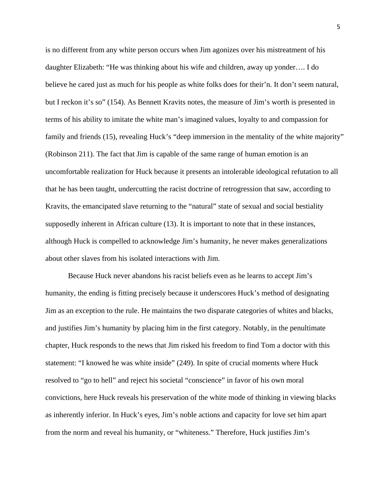is no different from any white person occurs when Jim agonizes over his mistreatment of his daughter Elizabeth: "He was thinking about his wife and children, away up yonder…. I do believe he cared just as much for his people as white folks does for their'n. It don't seem natural, but I reckon it's so" (154). As Bennett Kravits notes, the measure of Jim's worth is presented in terms of his ability to imitate the white man's imagined values, loyalty to and compassion for family and friends (15), revealing Huck's "deep immersion in the mentality of the white majority" (Robinson 211). The fact that Jim is capable of the same range of human emotion is an uncomfortable realization for Huck because it presents an intolerable ideological refutation to all that he has been taught, undercutting the racist doctrine of retrogression that saw, according to Kravits, the emancipated slave returning to the "natural" state of sexual and social bestiality supposedly inherent in African culture (13). It is important to note that in these instances, although Huck is compelled to acknowledge Jim's humanity, he never makes generalizations about other slaves from his isolated interactions with Jim.

Because Huck never abandons his racist beliefs even as he learns to accept Jim's humanity, the ending is fitting precisely because it underscores Huck's method of designating Jim as an exception to the rule. He maintains the two disparate categories of whites and blacks, and justifies Jim's humanity by placing him in the first category. Notably, in the penultimate chapter, Huck responds to the news that Jim risked his freedom to find Tom a doctor with this statement: "I knowed he was white inside" (249). In spite of crucial moments where Huck resolved to "go to hell" and reject his societal "conscience" in favor of his own moral convictions, here Huck reveals his preservation of the white mode of thinking in viewing blacks as inherently inferior. In Huck's eyes, Jim's noble actions and capacity for love set him apart from the norm and reveal his humanity, or "whiteness." Therefore, Huck justifies Jim's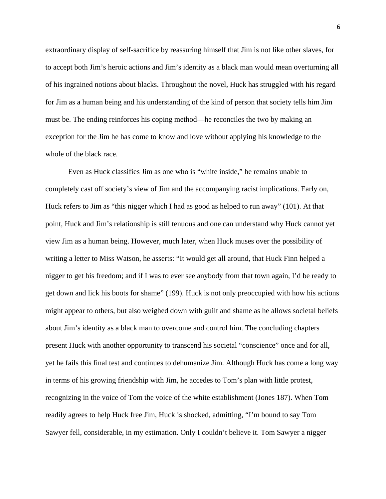extraordinary display of self-sacrifice by reassuring himself that Jim is not like other slaves, for to accept both Jim's heroic actions and Jim's identity as a black man would mean overturning all of his ingrained notions about blacks. Throughout the novel, Huck has struggled with his regard for Jim as a human being and his understanding of the kind of person that society tells him Jim must be. The ending reinforces his coping method—he reconciles the two by making an exception for the Jim he has come to know and love without applying his knowledge to the whole of the black race.

Even as Huck classifies Jim as one who is "white inside," he remains unable to completely cast off society's view of Jim and the accompanying racist implications. Early on, Huck refers to Jim as "this nigger which I had as good as helped to run away" (101). At that point, Huck and Jim's relationship is still tenuous and one can understand why Huck cannot yet view Jim as a human being. However, much later, when Huck muses over the possibility of writing a letter to Miss Watson, he asserts: "It would get all around, that Huck Finn helped a nigger to get his freedom; and if I was to ever see anybody from that town again, I'd be ready to get down and lick his boots for shame" (199). Huck is not only preoccupied with how his actions might appear to others, but also weighed down with guilt and shame as he allows societal beliefs about Jim's identity as a black man to overcome and control him. The concluding chapters present Huck with another opportunity to transcend his societal "conscience" once and for all, yet he fails this final test and continues to dehumanize Jim. Although Huck has come a long way in terms of his growing friendship with Jim, he accedes to Tom's plan with little protest, recognizing in the voice of Tom the voice of the white establishment (Jones 187). When Tom readily agrees to help Huck free Jim, Huck is shocked, admitting, "I'm bound to say Tom Sawyer fell, considerable, in my estimation. Only I couldn't believe it. Tom Sawyer a nigger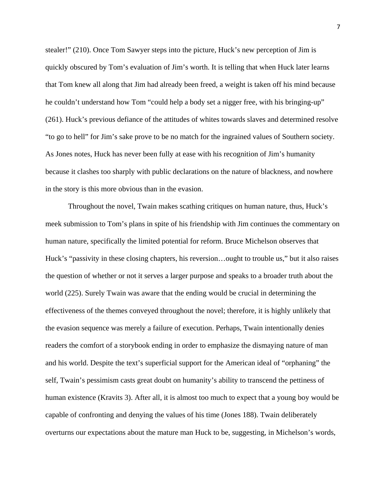stealer!" (210). Once Tom Sawyer steps into the picture, Huck's new perception of Jim is quickly obscured by Tom's evaluation of Jim's worth. It is telling that when Huck later learns that Tom knew all along that Jim had already been freed, a weight is taken off his mind because he couldn't understand how Tom "could help a body set a nigger free, with his bringing-up" (261). Huck's previous defiance of the attitudes of whites towards slaves and determined resolve "to go to hell" for Jim's sake prove to be no match for the ingrained values of Southern society. As Jones notes, Huck has never been fully at ease with his recognition of Jim's humanity because it clashes too sharply with public declarations on the nature of blackness, and nowhere in the story is this more obvious than in the evasion.

Throughout the novel, Twain makes scathing critiques on human nature, thus, Huck's meek submission to Tom's plans in spite of his friendship with Jim continues the commentary on human nature, specifically the limited potential for reform. Bruce Michelson observes that Huck's "passivity in these closing chapters, his reversion…ought to trouble us," but it also raises the question of whether or not it serves a larger purpose and speaks to a broader truth about the world (225). Surely Twain was aware that the ending would be crucial in determining the effectiveness of the themes conveyed throughout the novel; therefore, it is highly unlikely that the evasion sequence was merely a failure of execution. Perhaps, Twain intentionally denies readers the comfort of a storybook ending in order to emphasize the dismaying nature of man and his world. Despite the text's superficial support for the American ideal of "orphaning" the self, Twain's pessimism casts great doubt on humanity's ability to transcend the pettiness of human existence (Kravits 3). After all, it is almost too much to expect that a young boy would be capable of confronting and denying the values of his time (Jones 188). Twain deliberately overturns our expectations about the mature man Huck to be, suggesting, in Michelson's words,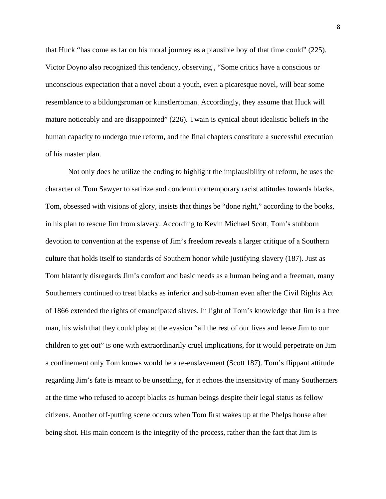that Huck "has come as far on his moral journey as a plausible boy of that time could" (225). Victor Doyno also recognized this tendency, observing , "Some critics have a conscious or unconscious expectation that a novel about a youth, even a picaresque novel, will bear some resemblance to a bildungsroman or kunstlerroman. Accordingly, they assume that Huck will mature noticeably and are disappointed" (226). Twain is cynical about idealistic beliefs in the human capacity to undergo true reform, and the final chapters constitute a successful execution of his master plan.

 Not only does he utilize the ending to highlight the implausibility of reform, he uses the character of Tom Sawyer to satirize and condemn contemporary racist attitudes towards blacks. Tom, obsessed with visions of glory, insists that things be "done right," according to the books, in his plan to rescue Jim from slavery. According to Kevin Michael Scott, Tom's stubborn devotion to convention at the expense of Jim's freedom reveals a larger critique of a Southern culture that holds itself to standards of Southern honor while justifying slavery (187). Just as Tom blatantly disregards Jim's comfort and basic needs as a human being and a freeman, many Southerners continued to treat blacks as inferior and sub-human even after the Civil Rights Act of 1866 extended the rights of emancipated slaves. In light of Tom's knowledge that Jim is a free man, his wish that they could play at the evasion "all the rest of our lives and leave Jim to our children to get out" is one with extraordinarily cruel implications, for it would perpetrate on Jim a confinement only Tom knows would be a re-enslavement (Scott 187). Tom's flippant attitude regarding Jim's fate is meant to be unsettling, for it echoes the insensitivity of many Southerners at the time who refused to accept blacks as human beings despite their legal status as fellow citizens. Another off-putting scene occurs when Tom first wakes up at the Phelps house after being shot. His main concern is the integrity of the process, rather than the fact that Jim is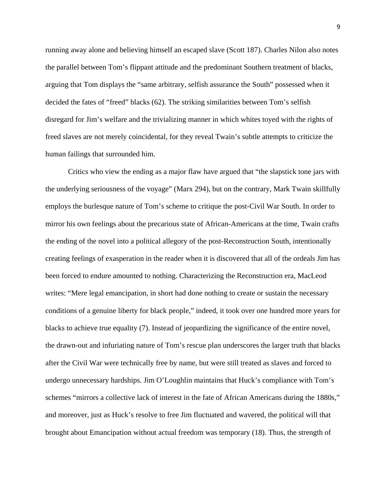running away alone and believing himself an escaped slave (Scott 187). Charles Nilon also notes the parallel between Tom's flippant attitude and the predominant Southern treatment of blacks, arguing that Tom displays the "same arbitrary, selfish assurance the South" possessed when it decided the fates of "freed" blacks (62). The striking similarities between Tom's selfish disregard for Jim's welfare and the trivializing manner in which whites toyed with the rights of freed slaves are not merely coincidental, for they reveal Twain's subtle attempts to criticize the human failings that surrounded him.

 Critics who view the ending as a major flaw have argued that "the slapstick tone jars with the underlying seriousness of the voyage" (Marx 294), but on the contrary, Mark Twain skillfully employs the burlesque nature of Tom's scheme to critique the post-Civil War South. In order to mirror his own feelings about the precarious state of African-Americans at the time, Twain crafts the ending of the novel into a political allegory of the post-Reconstruction South, intentionally creating feelings of exasperation in the reader when it is discovered that all of the ordeals Jim has been forced to endure amounted to nothing. Characterizing the Reconstruction era, MacLeod writes: "Mere legal emancipation, in short had done nothing to create or sustain the necessary conditions of a genuine liberty for black people," indeed, it took over one hundred more years for blacks to achieve true equality (7). Instead of jeopardizing the significance of the entire novel, the drawn-out and infuriating nature of Tom's rescue plan underscores the larger truth that blacks after the Civil War were technically free by name, but were still treated as slaves and forced to undergo unnecessary hardships. Jim O'Loughlin maintains that Huck's compliance with Tom's schemes "mirrors a collective lack of interest in the fate of African Americans during the 1880s," and moreover, just as Huck's resolve to free Jim fluctuated and wavered, the political will that brought about Emancipation without actual freedom was temporary (18). Thus, the strength of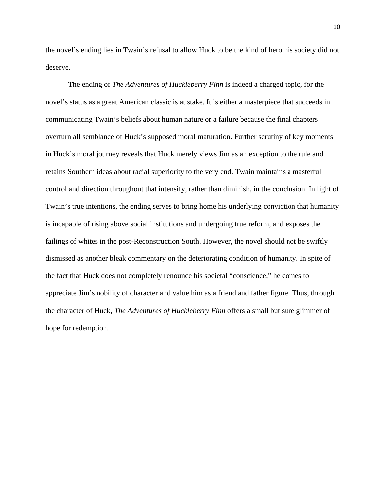the novel's ending lies in Twain's refusal to allow Huck to be the kind of hero his society did not deserve.

 The ending of *The Adventures of Huckleberry Finn* is indeed a charged topic, for the novel's status as a great American classic is at stake. It is either a masterpiece that succeeds in communicating Twain's beliefs about human nature or a failure because the final chapters overturn all semblance of Huck's supposed moral maturation. Further scrutiny of key moments in Huck's moral journey reveals that Huck merely views Jim as an exception to the rule and retains Southern ideas about racial superiority to the very end. Twain maintains a masterful control and direction throughout that intensify, rather than diminish, in the conclusion. In light of Twain's true intentions, the ending serves to bring home his underlying conviction that humanity is incapable of rising above social institutions and undergoing true reform, and exposes the failings of whites in the post-Reconstruction South. However, the novel should not be swiftly dismissed as another bleak commentary on the deteriorating condition of humanity. In spite of the fact that Huck does not completely renounce his societal "conscience," he comes to appreciate Jim's nobility of character and value him as a friend and father figure. Thus, through the character of Huck, *The Adventures of Huckleberry Finn* offers a small but sure glimmer of hope for redemption.